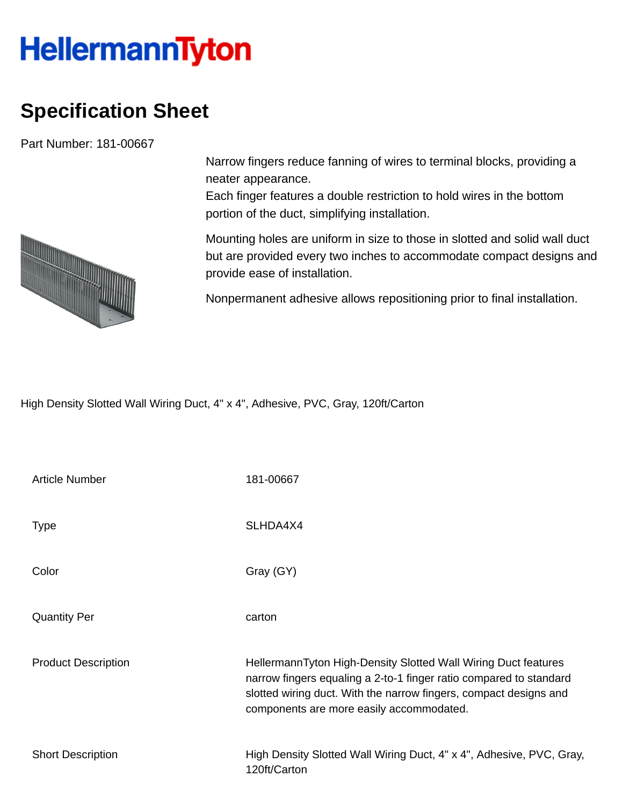## **HellermannTyton**

## **Specification Sheet**

Part Number: 181-00667



Narrow fingers reduce fanning of wires to terminal blocks, providing a neater appearance.

Each finger features a double restriction to hold wires in the bottom portion of the duct, simplifying installation.

Mounting holes are uniform in size to those in slotted and solid wall duct but are provided every two inches to accommodate compact designs and provide ease of installation.

Nonpermanent adhesive allows repositioning prior to final installation.

High Density Slotted Wall Wiring Duct, 4" x 4", Adhesive, PVC, Gray, 120ft/Carton

| <b>Article Number</b>      | 181-00667                                                                                                                                                                                                                                             |
|----------------------------|-------------------------------------------------------------------------------------------------------------------------------------------------------------------------------------------------------------------------------------------------------|
| <b>Type</b>                | SLHDA4X4                                                                                                                                                                                                                                              |
| Color                      | Gray (GY)                                                                                                                                                                                                                                             |
| <b>Quantity Per</b>        | carton                                                                                                                                                                                                                                                |
| <b>Product Description</b> | HellermannTyton High-Density Slotted Wall Wiring Duct features<br>narrow fingers equaling a 2-to-1 finger ratio compared to standard<br>slotted wiring duct. With the narrow fingers, compact designs and<br>components are more easily accommodated. |
| <b>Short Description</b>   | High Density Slotted Wall Wiring Duct, 4" x 4", Adhesive, PVC, Gray,<br>120ft/Carton                                                                                                                                                                  |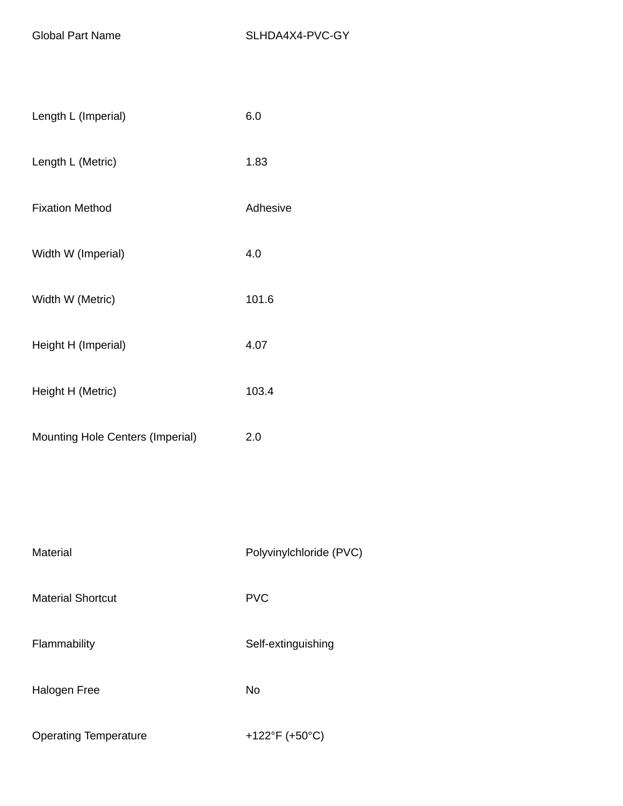| Length L (Imperial)              | 6.0                     |
|----------------------------------|-------------------------|
| Length L (Metric)                | 1.83                    |
| <b>Fixation Method</b>           | Adhesive                |
| Width W (Imperial)               | 4.0                     |
| Width W (Metric)                 | 101.6                   |
| Height H (Imperial)              | 4.07                    |
| Height H (Metric)                | 103.4                   |
| Mounting Hole Centers (Imperial) | 2.0                     |
|                                  |                         |
|                                  |                         |
| Material                         | Polyvinylchloride (PVC) |
| <b>Material Shortcut</b>         | <b>PVC</b>              |
| Flammability                     | Self-extinguishing      |

Halogen Free No

Operating Temperature +122°F (+50°C)